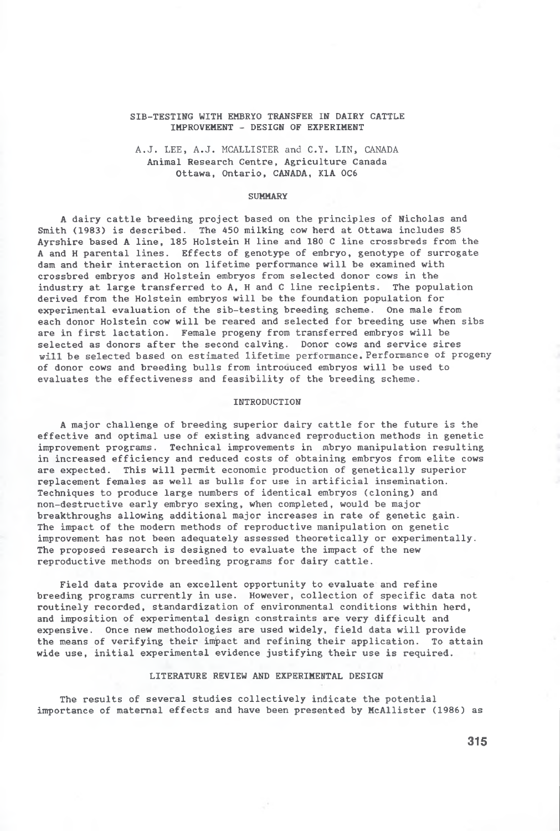# SIB-TESTING WITH EMBRYO TRANSFER IN DAIRY CATTLE IMPROVEMENT - DESIGN OF EXPERIMENT

**A.J. LEE, A.J. MCALLISTER and C.Y. LIN, CANADA** Animal Research Centre, Agriculture Canada Ottawa, Ontario, CANADA, K1A 0C6

#### **SUMMARY**

A dairy cattle breeding project based on the principles of Nicholas and Smith (1983) is described. The 450 milking cow herd at Ottawa includes 85 Ayrshire based A line, 185 Holstein H line and 180 C line crossbreds from the A and H parental lines. Effects of genotype of embryo, genotype of surrogate dam and their interaction on lifetime performance will be examined with crossbred embryos and Holstein embryos from selected donor cows in the industry at large transferred to A, H and C line recipients. The population derived from the Holstein embryos will be the foundation population for experimental evaluation of the sib-testing breeding scheme. One male from each donor Holstein cow will be reared and selected for breeding use when sibs are in first lactation. Female progeny from transferred embryos will be selected as donors after the second calving. Donor cows and service sires will be selected based on estimated lifetime performance. Performance of progeny of donor cows and breeding bulls from introuuced embryos will be used to evaluates the effectiveness and feasibility of the breeding scheme.

### INTRODUCTION

A major challenge of breeding superior dairy cattle for the future is the effective and optimal use of existing advanced reproduction methods in genetic improvement programs. Technical improvements in mbryo manipulation resulting in increased efficiency and reduced costs of obtaining embryos from elite cows are expected. This will permit economic production of genetically superior replacement females as well as bulls for use in artificial insemination. Techniques to produce large numbers of identical embryos (cloning) and non-destructive early embryo sexing, when completed, would be major breakthroughs allowing additional major increases in rate of genetic gain. The impact of the modern methods of reproductive manipulation on genetic improvement has not been adequately assessed theoretically or experimentally. The proposed research is designed to evaluate the impact of the new reproductive methods on breeding programs for dairy cattle.

Field data provide an excellent opportunity to evaluate and refine breeding programs currently in use. However, collection of specific data not routinely recorded, standardization of environmental conditions within herd, and imposition of experimental design constraints are very difficult and expensive. Once new methodologies are used widely, field data will provide the means of verifying their impact and refining their application. To attain wide use, initial experimental evidence justifying their use is required.

#### LITERATURE REVIEW AND EXPERIMENTAL DESIGN

The results of several studies collectively indicate the potential importance of maternal effects and have been presented by McAllister (1986) as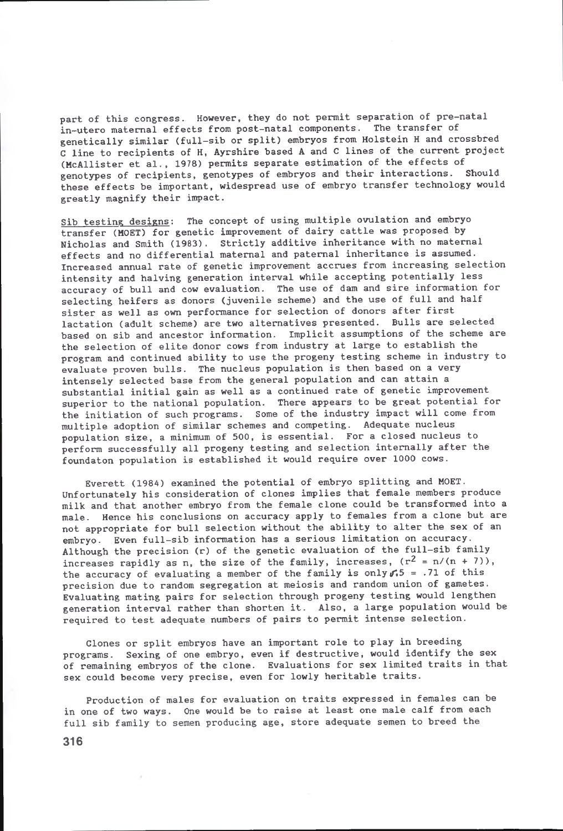part of this congress. However, they do not permit separation of pre-natal in—utero maternal effects from post-natal components. The transfer of genetically similar (full-sib or split) embryos from Holstein H and crossbred C line to recipients of H, Ayrshire based A and C lines of the current project (McAllister et al., 1978) permits separate estimation of the effects of genotypes of recipients, genotypes of embryos and their interactions. Should these effects be important, widespread use of embryo transfer technology would greatly magnify their impact.

Sib testing designs: The concept of using multiple ovulation and embryo transfer (MOET) for genetic improvement of dairy cattle was proposed by Nicholas and Smith (1983). Strictly additive inheritance with no maternal effects and no differential maternal and paternal inheritance is assumed. Increased annual rate of genetic improvement accrues from increasing selection intensity and halving generation interval while accepting potentially less accuracy of bull and cow evaluation. The use of dam and sire information for selecting heifers as donors (juvenile scheme) and the use of full and half sister as well as own performance for selection of donors after first lactation (adult scheme) are two alternatives presented. Bulls are selected based on sib and ancestor information. Implicit assumptions of the scheme are the selection of elite donor cows from industry at large to establish the program and continued ability to use the progeny testing scheme in industry to evaluate proven bulls. The nucleus population is then based on a very intensely selected base from the general population and can attain a substantial initial gain as well as a continued rate of genetic improvement superior to the national population. There appears to be great potential for the initiation of such programs. Some of the industry impact will come from multiple adoption of similar schemes and competing. Adequate nucleus population size, a minimum of 500, is essential. For a closed nucleus to perform successfully all progeny testing and selection internally after the foundaton population is established it would require over 1000 cows.

Everett (1984) examined the potential of embryo splitting and MOET. Unfortunately his consideration of clones implies that female members produce milk and that another embryo from the female clone could be transformed into a male. Hence his conclusions on accuracy apply to females from a clone but are not appropriate for bull selection without the ability to alter the sex of an embryo. Even full-sib information has a serious limitation on accuracy. Although the precision (r) of the genetic evaluation of the full-sib family increases rapidly as n, the size of the family, increases,  $(r^2 = n/(n + 7))$ , the accuracy of evaluating a member of the family is only  $f.5 = .71$  of this precision due to random segregation at meiosis and random union of gametes. Evaluating mating pairs for selection through progeny testing would lengthen generation interval rather than shorten it. Also, a large population would be required to test adequate numbers of pairs to permit intense selection.

Clones or split embryos have an important role to play in breeding programs. Sexing of one embryo, even if destructive, would identify the sex of remaining embryos of the clone. Evaluations for sex limited traits in that sex could become very precise, even for lowly heritable traits.

Production of males for evaluation on traits expressed in females can be in one of two ways. One would be to raise at least one male calf from each full sib family to semen producing age, store adequate semen to breed the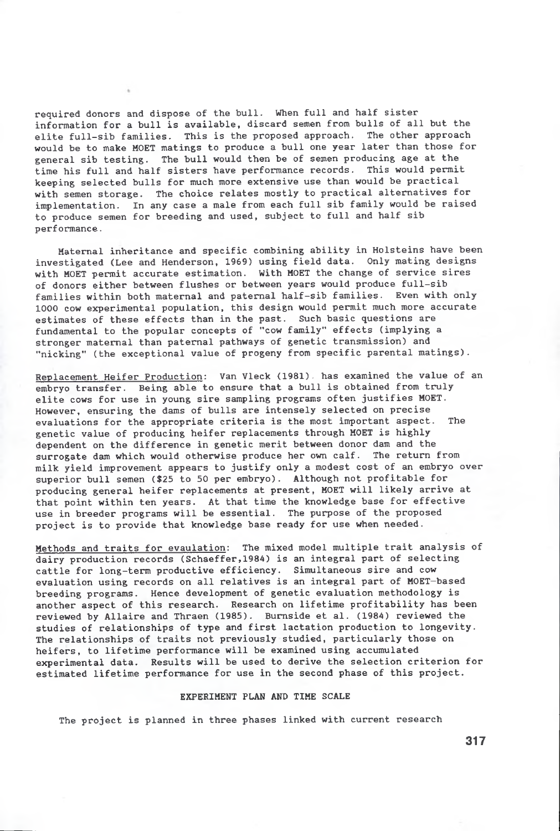required donors and dispose of the bull. When full and half sister information for a bull is available, discard semen from bulls of all but the elite full-sib families. This is the proposed approach. The other approach would be to make MOET matings to produce a bull one year later than those for general sib testing. The bull would then be of semen producing age at the time his full and half sisters have performance records. This would permit keeping selected bulls for much more extensive use than would be practical with semen storage. The choice relates mostly to practical alternatives for implementation. In any case a male from each full sib family would be raised to produce semen for breeding and used, subject to full and half sib performance.

Maternal inheritance and specific combining ability in Holsteins have been investigated (Lee and Henderson, 1969) using field data. Only mating designs with MOET permit accurate estimation. With MOET the change of service sires of donors either between flushes or between years would produce full-sib families within both maternal and paternal half-sib families. Even with only 1000 cow experimental population, this design would permit much more accurate estimates of these effects than in the past. Such basic questions are fundamental to the popular concepts of "cow family" effects (implying a stronger maternal than paternal pathways of genetic transmission) and "nicking" (the exceptional value of progeny from specific parental matings).

Replacement Heifer Production: Van Vleck (1981). has examined the value of an embryo transfer. Being able to ensure that a bull is obtained from truly elite cows for use in young sire sampling programs often justifies MOET. However, ensuring the dams of bulls are intensely selected on precise evaluations for the appropriate criteria is the most important aspect. The genetic value of producing heifer replacements through MOET is highly dependent on the difference in genetic merit between donor dam and the surrogate dam which would otherwise produce her own calf. The return from milk yield improvement appears to justify only a modest cost of an embryo over superior bull semen (\$25 to 50 per embryo). Although not profitable for producing general heifer replacements at present, MOET will likely arrive at that point within ten years. At that time the knowledge base for effective use in breeder programs will be essential. The purpose of the proposed project is to provide that knowledge base ready for use when needed.

Methods and traits for evaulation: The mixed model multiple trait analysis of dairy production records (Schaeffer,1984) is an integral part of selecting cattle for long-term productive efficiency. Simultaneous sire and cow evaluation using records on all relatives is an integral part of MOET-based breeding programs. Hence development of genetic evaluation methodology is another aspect of this research. Research on lifetime profitability has been reviewed by Allaire and Thraen (1985). Burnside et al. (1984) reviewed the studies of relationships of type and first lactation production to longevity. The relationships of traits not previously studied, particularly those on heifers, to lifetime performance will be examined using accumulated experimental data. Results will be used to derive the selection criterion for estimated lifetime performance for use in the second phase of this project.

## EXPERIMENT PLAN AND TIME SCALE

The project is planned in three phases linked with current research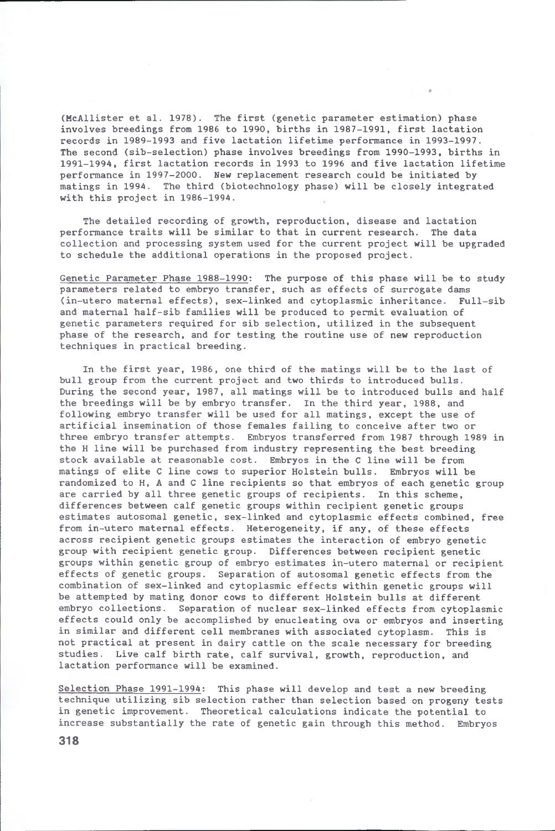(McAllister et al. 1978). The first (genetic parameter estimation) phase involves breedings from 1986 to 1990, births in 1987-1991, first lactation records in 1989-1993 and five lactation lifetime performance in 1993-1997. The second (sib-selection) phase involves breedings from 1990-1993, births in 1991-1994, first lactation records in 1993 to 1996 and five lactation lifetime performance in 1997-2000. New replacement research could be initiated by matings in 1994. The third (biotechnology phase) will be closely integrated with this project in 1986-1994.

The detailed recording of growth, reproduction, disease and lactation performance traits will be similar to that in current research. The data collection and processing system used for the current project will be upgraded to schedule the additional operations in the proposed project.

Genetic Parameter Phase 1988-1990: The purpose of this phase will be to study parameters related to embryo transfer, such as effects of surrogate dams (in-utero maternal effects), sex-linked and cytoplasmic inheritance. Full-sib and maternal half-sib families will be produced to permit evaluation of genetic parameters required for sib selection, utilized in the subsequent phase of the research, and for testing the routine use of new reproduction techniques in practical breeding.

In the first year, 1986, one third of the matings will be to the last of bull group from the current project and two thirds to introduced bulls. During the second year, 1987, all matings will be to introduced bulls and half the breedings will be by embryo transfer. In the third year, 1988, and following embryo transfer will be used for all matings, except the use of artificial insemination of those females failing to conceive after two or three embryo transfer attempts. Embryos transferred from 1987 through 1989 in the H line will be purchased from industry representing the best breeding stock available at reasonable cost. Embryos in the C line will be from matings of elite C line cows to superior Holstein bulls. Embryos will be randomized to H, A and C line recipients so that embryos of each genetic group are carried by all three genetic groups of recipients. In this scheme, differences between calf genetic groups within recipient genetic groups estimates autosomal genetic, sex-linked and cytoplasmic effects combined, free from in-utero maternal effects. Heterogeneity, if any, of these effects across recipient genetic groups estimates the interaction of embryo genetic group with recipient genetic group. Differences between recipient genetic groups within genetic group of embryo estimates in-utero maternal or recipient effects of genetic groups. Separation of autosomal genetic effects from the combination of sex-linked and cytoplasmic effects within genetic groups will be attempted by mating donor cows to different Holstein bulls at different embryo collections. Separation of nuclear sex-linked effects from cytoplasmic effects could only be accomplished by enucleating ova or embryos and inserting in similar and different cell membranes with associated cytoplasm. This is not practical at present in dairy cattle on the scale necessary for breeding studies. Live calf birth rate, calf survival, growth, reproduction, and lactation performance will be examined.

Selection Phase 1991-1994: This phase will develop and test a new breeding technique utilizing sib selection rather than selection based on progeny tests in genetic improvement. Theoretical calculations indicate the potential to increase substantially the rate of genetic gain through this method. Embryos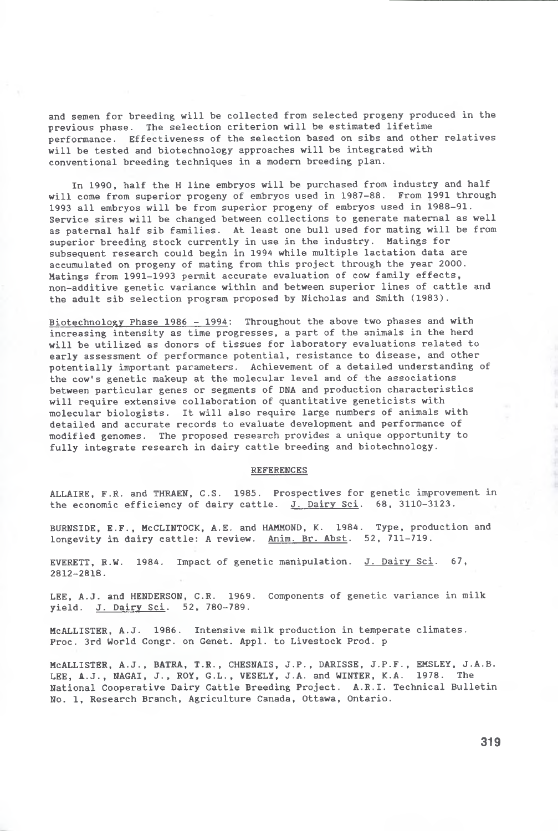and semen for breeding will be collected from selected progeny produced in the previous phase. The selection criterion will be estimated lifetime performance. Effectiveness of the selection based on sibs and other relatives will be tested and biotechnology approaches will be integrated with conventional breeding techniques in a modern breeding plan.

In 1990, half the H line embryos will be purchased from industry and half will come from superior progeny of embryos used in 1987-88. From 1991 through 1993 all embryos will be from superior progeny of embryos used in 1988-91. Service sires will be changed between collections to generate maternal as well as paternal half sib families. At least one bull used for mating will be from superior breeding stock currently in use in the industry. Matings for subsequent research could begin in 1994 while multiple lactation data are accumulated on progeny of mating from this project through the year 2000. Matings from 1991-1993 permit accurate evaluation of cow family effects, non-additive genetic variance within and between superior lines of cattle and the adult sib selection program proposed by Nicholas and Smith (1983).

Biotechnology Phase 1986 - 1994: Throughout the above two phases and with increasing intensity as time progresses, a part of the animals in the herd will be utilized as donors of tissues for laboratory evaluations related to early assessment of performance potential, resistance to disease, and other potentially important parameters. Achievement of a detailed understanding of the cow's genetic makeup at the molecular level and of the associations between particular genes or segments of DNA and production characteristics will require extensive collaboration of quantitative geneticists with molecular biologists. It will also require large numbers of animals with detailed and accurate records to evaluate development and performance of modified genomes. The proposed research provides a unique opportunity to fully integrate research in dairy cattle breeding and biotechnology.

### REFERENCES

ALLAIRE, F.R. and THRAEN, C.S. 1985. Prospectives for genetic improvement in the economic efficiency of dairy cattle. J. Dairy Sci. 68, 3110-3123.

BURNSIDE, E.F., McCLINTOCK, A.E. and HAMMOND, K. 1984. Type, production and longevity in dairy cattle: A review. Anim. Br. Abst. 52, 711-719.

EVERETT, R.W. 1984. Impact of genetic manipulation. J. Dairy Sci. 67, 2812-2818.

LEE, A.J. and HENDERSON, C.R. 1969. Components of genetic variance in milk yield. J. Dairy Sci. 52, 780-789.

McALLISTER, A.J. 1986. Intensive milk production in temperate climates. Proc. 3rd World Congr. on Genet. Appl. to Livestock Prod, p

MCALLISTER, A.J., BATRA, T.R., CHESNAIS, J.P., DARISSE, J.P.F., EMSLEY, J.A.B. LEE, **A.**J., NAGAI, J., ROY, G.L., VESELY, J.A. and WINTER, K.A. 1978. The National Cooperative Dairy Cattle Breeding Project. A.R.I. Technical Bulletin No. 1, Research Branch, Agriculture Canada, Ottawa, Ontario.